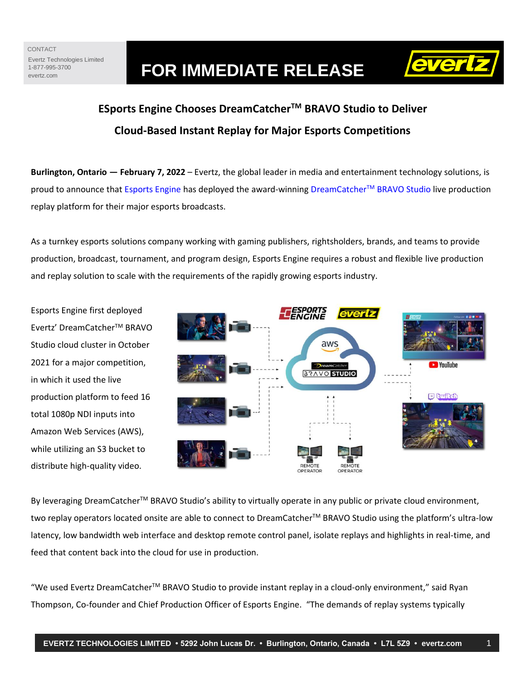# Evertz.com **FOR IMMEDIATE RELEASE**



# **ESports Engine Chooses DreamCatcherTM BRAVO Studio to Deliver Cloud-Based Instant Replay for Major Esports Competitions**

**Burlington, Ontario — February 7, 2022** – Evertz, the global leader in media and entertainment technology solutions, is proud to announce that [Esports Engine](https://esportsengine.gg/) has deployed the award-winning [DreamCatcher](https://evertz.com/applications/live-production/)™ BRAVO Studio live production replay platform for their major esports broadcasts.

As a turnkey esports solutions company working with gaming publishers, rightsholders, brands, and teams to provide production, broadcast, tournament, and program design, Esports Engine requires a robust and flexible live production and replay solution to scale with the requirements of the rapidly growing esports industry.

Esports Engine first deployed Evertz' DreamCatcherTM BRAVO Studio cloud cluster in October 2021 for a major competition, in which it used the live production platform to feed 16 total 1080p NDI inputs into Amazon Web Services (AWS), while utilizing an S3 bucket to distribute high-quality video.



By leveraging DreamCatcher™ BRAVO Studio's ability to virtually operate in any public or private cloud environment, two replay operators located onsite are able to connect to DreamCatcher™ BRAVO Studio using the platform's ultra-low latency, low bandwidth web interface and desktop remote control panel, isolate replays and highlights in real-time, and feed that content back into the cloud for use in production.

"We used Evertz DreamCatcher<sup>™</sup> BRAVO Studio to provide instant replay in a cloud-only environment," said Ryan Thompson, Co-founder and Chief Production Officer of Esports Engine. "The demands of replay systems typically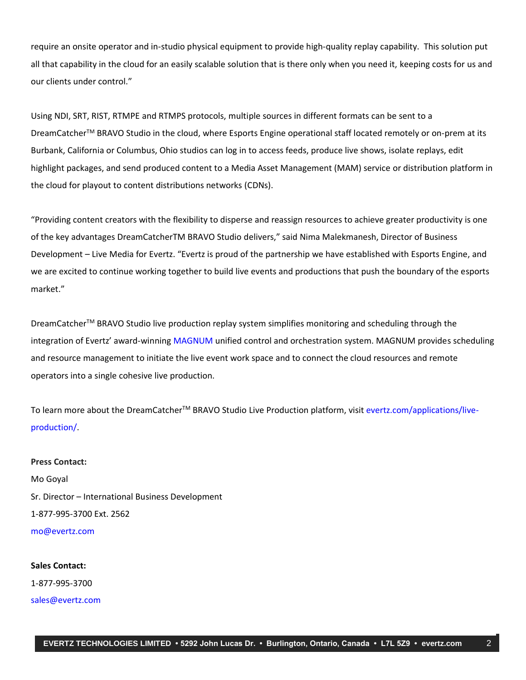require an onsite operator and in-studio physical equipment to provide high-quality replay capability. This solution put all that capability in the cloud for an easily scalable solution that is there only when you need it, keeping costs for us and our clients under control."

Using NDI, SRT, RIST, RTMPE and RTMPS protocols, multiple sources in different formats can be sent to a DreamCatcher™ BRAVO Studio in the cloud, where Esports Engine operational staff located remotely or on-prem at its Burbank, California or Columbus, Ohio studios can log in to access feeds, produce live shows, isolate replays, edit highlight packages, and send produced content to a Media Asset Management (MAM) service or distribution platform in the cloud for playout to content distributions networks (CDNs).

"Providing content creators with the flexibility to disperse and reassign resources to achieve greater productivity is one of the key advantages DreamCatcherTM BRAVO Studio delivers," said Nima Malekmanesh, Director of Business Development – Live Media for Evertz. "Evertz is proud of the partnership we have established with Esports Engine, and we are excited to continue working together to build live events and productions that push the boundary of the esports market."

DreamCatcher™ BRAVO Studio live production replay system simplifies monitoring and scheduling through the integration of Evertz' award-winning [MAGNUM](https://evertz.com/solutions/magnum/) unified control and orchestration system. MAGNUM provides scheduling and resource management to initiate the live event work space and to connect the cloud resources and remote operators into a single cohesive live production.

To learn more about the DreamCatcher™ BRAVO Studio Live Production platform, visit [evertz.com/applications/live](https://evertz.com/applications/live-production/)[production/.](https://evertz.com/applications/live-production/)

## **Press Contact:** Mo Goyal Sr. Director – International Business Development

1-877-995-3700 Ext. 2562

[mo@evertz.com](mailto:mo@evertz.com)

### **Sales Contact:**

1-877-995-3700

[sales@evertz.com](mailto:sales@evertz.com)